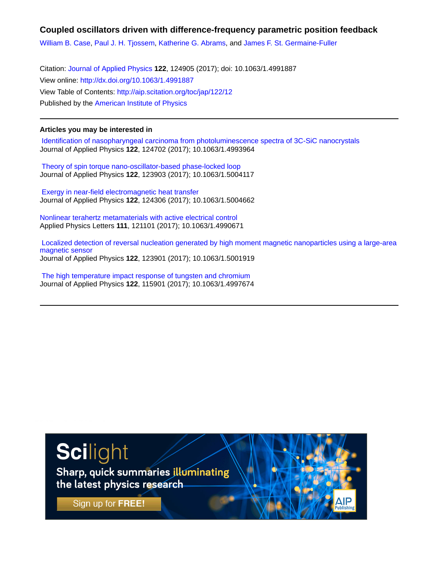## **Coupled oscillators driven with difference-frequency parametric position feedback**

[William B. Case,](http://aip.scitation.org/author/Case%2C+William+B) [Paul J. H. Tjossem](http://aip.scitation.org/author/Tjossem%2C+Paul+J+H), [Katherine G. Abrams](http://aip.scitation.org/author/Abrams%2C+Katherine+G), and [James F. St. Germaine-Fuller](http://aip.scitation.org/author/Germaine-Fuller%2C+James+F)

Citation: [Journal of Applied Physics](/loi/jap) **122**, 124905 (2017); doi: 10.1063/1.4991887 View online: <http://dx.doi.org/10.1063/1.4991887> View Table of Contents: <http://aip.scitation.org/toc/jap/122/12> Published by the [American Institute of Physics](http://aip.scitation.org/publisher/)

### **Articles you may be interested in**

 [Identification of nasopharyngeal carcinoma from photoluminescence spectra of 3C-SiC nanocrystals](http://aip.scitation.org/doi/abs/10.1063/1.4993964) Journal of Applied Physics **122**, 124702 (2017); 10.1063/1.4993964

 [Theory of spin torque nano-oscillator-based phase-locked loop](http://aip.scitation.org/doi/abs/10.1063/1.5004117) Journal of Applied Physics **122**, 123903 (2017); 10.1063/1.5004117

 [Exergy in near-field electromagnetic heat transfer](http://aip.scitation.org/doi/abs/10.1063/1.5004662) Journal of Applied Physics **122**, 124306 (2017); 10.1063/1.5004662

[Nonlinear terahertz metamaterials with active electrical control](http://aip.scitation.org/doi/abs/10.1063/1.4990671) Applied Physics Letters **111**, 121101 (2017); 10.1063/1.4990671

 [Localized detection of reversal nucleation generated by high moment magnetic nanoparticles using a large-area](http://aip.scitation.org/doi/abs/10.1063/1.5001919) [magnetic sensor](http://aip.scitation.org/doi/abs/10.1063/1.5001919) Journal of Applied Physics **122**, 123901 (2017); 10.1063/1.5001919

 [The high temperature impact response of tungsten and chromium](http://aip.scitation.org/doi/abs/10.1063/1.4997674) Journal of Applied Physics **122**, 115901 (2017); 10.1063/1.4997674

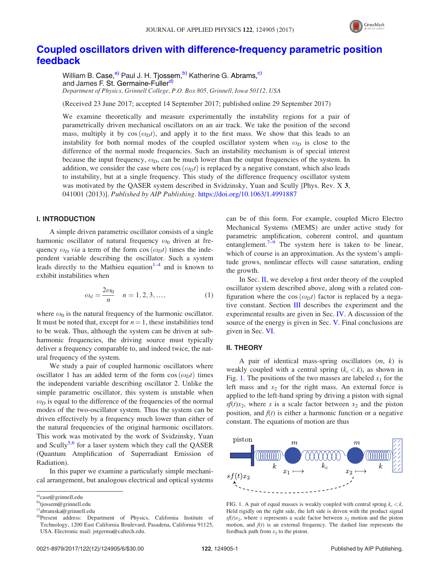

# [Coupled oscillators driven with difference-frequency parametric position](https://doi.org/10.1063/1.4991887) [feedback](https://doi.org/10.1063/1.4991887)

William B. Case, <sup>a)</sup> Paul J. H. Tjossem, <sup>b)</sup> Katherine G. Abrams, <sup>c)</sup> and James F. St. Germaine-Fuller<sup>d)</sup> Department of Physics, Grinnell College, P.O. Box 805, Grinnell, Iowa 50112, USA

(Received 23 June 2017; accepted 14 September 2017; published online 29 September 2017)

We examine theoretically and measure experimentally the instability regions for a pair of parametrically driven mechanical oscillators on an air track. We take the position of the second mass, multiply it by  $cos(\omega_D t)$ , and apply it to the first mass. We show that this leads to an instability for both normal modes of the coupled oscillator system when  $\omega_D$  is close to the difference of the normal mode frequencies. Such an instability mechanism is of special interest because the input frequency,  $\omega_D$ , can be much lower than the output frequencies of the system. In addition, we consider the case where  $\cos(\omega_D t)$  is replaced by a negative constant, which also leads to instability, but at a single frequency. This study of the difference frequency oscillator system was motivated by the QASER system described in Svidzinsky, Yuan and Scully [Phys. Rev. X 3, 041001 (2013)]. Published by AIP Publishing. <https://doi.org/10.1063/1.4991887>

#### I. INTRODUCTION

A simple driven parametric oscillator consists of a single harmonic oscillator of natural frequency  $\omega_0$  driven at frequency  $\omega_D$  via a term of the form cos  $(\omega_D t)$  times the independent variable describing the oscillator. Such a system leads directly to the Mathieu equation<sup>[1–4](#page-6-0)</sup> and is known to exhibit instabilities when

$$
\omega_d = \frac{2\omega_0}{n} \quad n = 1, 2, 3, ..., \tag{1}
$$

where  $\omega_0$  is the natural frequency of the harmonic oscillator. It must be noted that, except for  $n = 1$ , these instabilities tend to be weak. Thus, although the system can be driven at subharmonic frequencies, the driving source must typically deliver a frequency comparable to, and indeed twice, the natural frequency of the system.

We study a pair of coupled harmonic oscillators where oscillator 1 has an added term of the form  $cos(\omega_D t)$  times the independent variable describing oscillator 2. Unlike the simple parametric oscillator, this system is unstable when  $\omega_D$  is equal to the difference of the frequencies of the normal modes of the two-oscillator system. Thus the system can be driven effectively by a frequency much lower than either of the natural frequencies of the original harmonic oscillators. This work was motivated by the work of Svidzinsky, Yuan and Scully<sup>[5](#page-6-0),[6](#page-6-0)</sup> for a laser system which they call the QASER (Quantum Amplification of Superradiant Emission of Radiation).

In this paper we examine a particularly simple mechanical arrangement, but analogous electrical and optical systems can be of this form. For example, coupled Micro Electro Mechanical Systems (MEMS) are under active study for parametric amplification, coherent control, and quantum entanglement.<sup>[7–9](#page-6-0)</sup> The system here is taken to be linear, which of course is an approximation. As the system's amplitude grows, nonlinear effects will cause saturation, ending the growth.

In Sec. II, we develop a first order theory of the coupled oscillator system described above, along with a related configuration where the cos  $(\omega_D t)$  factor is replaced by a negative constant. Section [III](#page-3-0) describes the experiment and the experimental results are given in Sec. [IV.](#page-3-0) A discussion of the source of the energy is given in Sec. [V.](#page-5-0) Final conclusions are given in Sec. [VI](#page-5-0).

#### II. THEORY

A pair of identical mass-spring oscillators  $(m, k)$  is weakly coupled with a central spring  $(k_c < k)$ , as shown in Fig. 1. The positions of the two masses are labeled  $x_1$  for the left mass and  $x_2$  for the right mass. An external force is applied to the left-hand spring by driving a piston with signal  $s f(t) x_2$ , where s is a scale factor between  $x_2$  and the piston position, and  $f(t)$  is either a harmonic function or a negative constant. The equations of motion are thus



FIG. 1. A pair of equal masses is weakly coupled with central spring  $k_c < k$ . Held rigidly on the right side, the left side is driven with the product signal  $sf(t)x_2$ , where s represents a scale factor between  $x_2$  motion and the piston motion, and  $f(t)$  is an external frequency. The dashed line represents the feedback path from  $x_2$  to the piston.

a)[case@grinnell.edu](mailto:case@grinnell.edu)

b[\)tjossem@grinnell.edu](mailto:tjossem@grinnell.edu)

c)[abramska@grinnell.edu](mailto:abramska@grinnell.edu)

d)Present address: Department of Physics, California Institute of Technology, 1200 East California Boulevard, Pasadena, California 91125, USA. Electronic mail: [jstgerma@caltech.edu.](mailto:jstgerma@caltech.edu)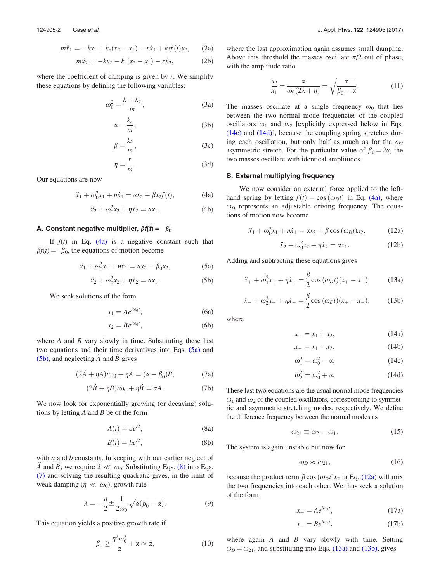<span id="page-2-0"></span>
$$
m\ddot{x}_1 = -kx_1 + k_c(x_2 - x_1) - r\dot{x}_1 + ksf(t)x_2, \qquad (2a)
$$

$$
m\ddot{x}_2 = -kx_2 - k_c(x_2 - x_1) - r\dot{x}_2, \tag{2b}
$$

where the coefficient of damping is given by  $r$ . We simplify these equations by defining the following variables:

$$
\omega_0^2 = \frac{k + k_c}{m},\tag{3a}
$$

$$
\alpha = \frac{k_c}{m},\tag{3b}
$$

$$
\beta = \frac{ks}{m},\tag{3c}
$$

$$
\eta = \frac{r}{m}.\tag{3d}
$$

Our equations are now

$$
\ddot{x}_1 + \omega_0^2 x_1 + \eta \dot{x}_1 = \alpha x_2 + \beta x_2 f(t), \tag{4a}
$$

$$
\ddot{x}_2 + \omega_0^2 x_2 + \eta \dot{x}_2 = \alpha x_1.
$$
 (4b)

#### A. Constant negative multiplier,  $\beta f(t) = -\beta_0$

If  $f(t)$  in Eq. (4a) is a negative constant such that  $\beta f(t) = -\beta_0$ , the equations of motion become

$$
\ddot{x}_1 + \omega_0^2 x_1 + \eta \dot{x}_1 = \alpha x_2 - \beta_0 x_2, \tag{5a}
$$

$$
\ddot{x}_2 + \omega_0^2 x_2 + \eta \dot{x}_2 = \alpha x_1.
$$
 (5b)

We seek solutions of the form

$$
x_1 = Ae^{i\omega_0 t}, \tag{6a}
$$

$$
x_2 = Be^{i\omega_0 t},\tag{6b}
$$

where  $A$  and  $B$  vary slowly in time. Substituting these last two equations and their time derivatives into Eqs. (5a) and (5b), and neglecting  $\ddot{A}$  and  $\ddot{B}$  gives

$$
(2\dot{A} + \eta A)i\omega_0 + \eta \dot{A} = (\alpha - \beta_0)B, \qquad (7a)
$$

$$
(2\dot{B} + \eta B)i\omega_0 + \eta \dot{B} = \alpha A. \tag{7b}
$$

We now look for exponentially growing (or decaying) solutions by letting  $A$  and  $B$  be of the form

$$
A(t) = ae^{\lambda t}, \tag{8a}
$$

$$
B(t) = be^{\lambda t},\tag{8b}
$$

with  $a$  and  $b$  constants. In keeping with our earlier neglect of A and B, we require  $\lambda \ll \omega_0$ . Substituting Eqs. (8) into Eqs. (7) and solving the resulting quadratic gives, in the limit of weak damping ( $\eta \ll \omega_0$ ), growth rate

$$
\lambda = -\frac{\eta}{2} \pm \frac{1}{2\omega_0} \sqrt{\alpha(\beta_0 - \alpha)}.
$$
\n(9)

This equation yields a positive growth rate if

$$
\beta_0 \ge \frac{\eta^2 \omega_0^2}{\alpha} + \alpha \approx \alpha,\tag{10}
$$

where the last approximation again assumes small damping. Above this threshold the masses oscillate  $\pi/2$  out of phase, with the amplitude ratio

$$
\frac{x_2}{x_1} = \frac{\alpha}{\omega_0(2\lambda + \eta)} = \sqrt{\frac{\alpha}{\beta_0 - \alpha}}.\tag{11}
$$

The masses oscillate at a single frequency  $\omega_0$  that lies between the two normal mode frequencies of the coupled oscillators  $\omega_1$  and  $\omega_2$  [explicitly expressed below in Eqs. (14c) and (14d)], because the coupling spring stretches during each oscillation, but only half as much as for the  $\omega_2$ asymmetric stretch. For the particular value of  $\beta_0 = 2\alpha$ , the two masses oscillate with identical amplitudes.

#### B. External multiplying frequency

We now consider an external force applied to the lefthand spring by letting  $f(t) = \cos(\omega_D t)$  in Eq. (4a), where  $\omega_D$  represents an adjustable driving frequency. The equations of motion now become

$$
\ddot{x}_1 + \omega_0^2 x_1 + \eta \dot{x}_1 = \alpha x_2 + \beta \cos{(\omega_D t)} x_2, \quad (12a)
$$

$$
\ddot{x}_2 + \omega_0^2 x_2 + \eta \dot{x}_2 = \alpha x_1. \tag{12b}
$$

Adding and subtracting these equations gives

$$
\ddot{x}_{+} + \omega_{1}^{2}x_{+} + \eta \dot{x}_{+} = \frac{\beta}{2} \cos{(\omega_{D} t)} (x_{+} - x_{-}), \quad (13a)
$$

$$
\ddot{x}_{-} + \omega_{2}^{2}x_{-} + \eta \dot{x}_{-} = \frac{\beta}{2} \cos{(\omega_{D} t)} (x_{+} - x_{-}), \quad (13b)
$$

where

$$
x_+ = x_1 + x_2, \t(14a)
$$

$$
x_- = x_1 - x_2, \t\t(14b)
$$

$$
\omega_1^2 = \omega_0^2 - \alpha,\tag{14c}
$$

$$
\omega_2^2 = \omega_0^2 + \alpha. \tag{14d}
$$

These last two equations are the usual normal mode frequencies  $\omega_1$  and  $\omega_2$  of the coupled oscillators, corresponding to symmetric and asymmetric stretching modes, respectively. We define the difference frequency between the normal modes as

$$
\omega_{21} \equiv \omega_2 - \omega_1. \tag{15}
$$

The system is again unstable but now for

$$
\omega_D \approx \omega_{21},\tag{16}
$$

because the product term  $\beta$  cos  $(\omega_D t)x_2$  in Eq. (12a) will mix the two frequencies into each other. We thus seek a solution of the form

$$
x_{+} = Ae^{i\omega_{1}t}, \qquad (17a)
$$

$$
x_{-} = Be^{i\omega_{2}t}, \qquad (17b)
$$

where again  $A$  and  $B$  vary slowly with time. Setting  $\omega_D = \omega_{21}$ , and substituting into Eqs. (13a) and (13b), gives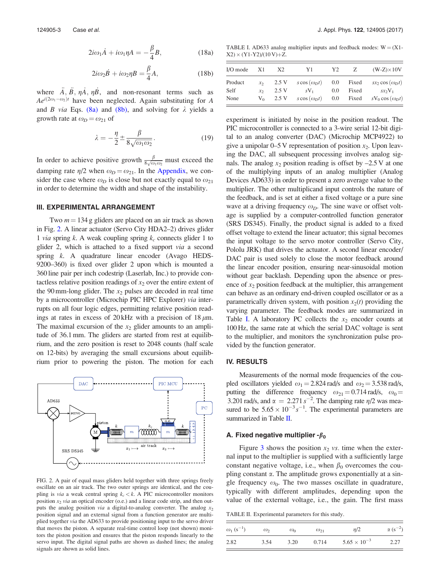$$
2i\omega_1 \dot{A} + i\omega_1 \eta A = -\frac{\beta}{4}B,\tag{18a}
$$

$$
2i\omega_2 \dot{B} + i\omega_2 \eta B = \frac{\beta}{4} A,\tag{18b}
$$

<span id="page-3-0"></span>where  $\ddot{A}$ ,  $\ddot{B}$ ,  $\eta \dot{A}$ ,  $\eta \dot{B}$ , and non-resonant terms such as  $Ae^{i(2\omega_1-\omega_2)t}$  have been neglected. Again substituting for A and B via Eqs. [\(8a\)](#page-2-0) and [\(8b\)](#page-2-0), and solving for  $\lambda$  yields a growth rate at  $\omega_D = \omega_{21}$  of

$$
\lambda = -\frac{\eta}{2} \pm \frac{\beta}{8\sqrt{\omega_1 \omega_2}}.\tag{19}
$$

In order to achieve positive growth  $\frac{\beta}{8\sqrt{\omega_1\omega_2}}$  must exceed the damping rate  $\eta/2$  when  $\omega_D = \omega_{21}$ . In the [Appendix,](#page-5-0) we consider the case where  $\omega_D$  is close but not exactly equal to  $\omega_{21}$ in order to determine the width and shape of the instability.

#### III. EXPERIMENTAL ARRANGEMENT

Two  $m = 134$  g gliders are placed on an air track as shown in Fig. 2. A linear actuator (Servo City HDA2–2) drives glider 1 via spring k. A weak coupling spring  $k_c$  connects glider 1 to glider 2, which is attached to a fixed support via a second spring k. A quadrature linear encoder (Avago HEDS-9200–360) is fixed over glider 2 upon which is mounted a 360 line pair per inch codestrip (Laserlab, Inc.) to provide contactless relative position readings of  $x_2$  over the entire extent of the 90 mm-long glider. The  $x_2$  pulses are decoded in real time by a microcontroller (Microchip PIC HPC Explorer) via interrupts on all four logic edges, permitting relative position readings at rates in excess of  $20 \text{ kHz}$  with a precision of  $18 \mu \text{m}$ . The maximal excursion of the  $x_2$  glider amounts to an amplitude of 36.1 mm. The gliders are started from rest at equilibrium, and the zero position is reset to 2048 counts (half scale on 12-bits) by averaging the small excursions about equilibrium prior to powering the piston. The motion for each



FIG. 2. A pair of equal mass gliders held together with three springs freely oscillate on an air track. The two outer springs are identical, and the coupling is via a weak central spring  $k_c < k$ . A PIC microcontroller monitors position  $x_2$  *via* an optical encoder (o.e.) and a linear code strip, and then outputs the analog position via a digital-to-analog converter. The analog  $x_2$ position signal and an external signal from a function generator are multiplied together via the AD633 to provide positioning input to the servo driver that moves the piston. A separate real-time control loop (not shown) monitors the piston position and ensures that the piston responds linearly to the servo input. The digital signal paths are shown as dashed lines; the analog signals are shown as solid lines.

TABLE I. AD633 analog multiplier inputs and feedback modes:  $W = (X1 X2$ )  $\times$  (Y1-Y2)/(10 V)+Z.

| I/O mode        | X1                  | X <sub>2</sub> | Y1                              | Y2         | Z              | $(W-Z) \times 10V$                                                                   |
|-----------------|---------------------|----------------|---------------------------------|------------|----------------|--------------------------------------------------------------------------------------|
| Product<br>Self | $x_{2}$<br>$\chi_2$ | 2.5V<br>2.5 V  | $s \cos (\omega_D t)$<br>$sV_1$ | 0.0<br>0.0 | Fixed<br>Fixed | $sx_2 \cos{(\omega_D t)}$<br>$S\mathcal{X}^{\scriptscriptstyle{\circ}}\mathcal{N}_1$ |
| None            | $V_0$               | 2.5 V          | $s \cos (\omega_D t)$           | $0.0\,$    | Fixed          | $sV_0 \cos{(\omega_D t)}$                                                            |

experiment is initiated by noise in the position readout. The PIC microcontroller is connected to a 3-wire serial 12-bit digital to an analog converter (DAC) (Microchip MCP4922) to give a unipolar  $0-5$  V representation of position  $x_2$ . Upon leaving the DAC, all subsequent processing involves analog signals. The analog  $x_2$  position reading is offset by  $-2.5$  V at one of the multiplying inputs of an analog multiplier (Analog Devices AD633) in order to present a zero average value to the multiplier. The other multiplicand input controls the nature of the feedback, and is set at either a fixed voltage or a pure sine wave at a driving frequency  $\omega_D$ . The sine wave or offset voltage is supplied by a computer-controlled function generator (SRS DS345). Finally, the product signal is added to a fixed offset voltage to extend the linear actuator; this signal becomes the input voltage to the servo motor controller (Servo City, Pololu JRK) that drives the actuator. A second linear encoder/ DAC pair is used solely to close the motor feedback around the linear encoder position, ensuring near-sinusoidal motion without gear backlash. Depending upon the absence or presence of  $x_2$  position feedback at the multiplier, this arrangement can behave as an ordinary end-driven coupled oscillator or as a parametrically driven system, with position  $x_2(t)$  providing the varying parameter. The feedback modes are summarized in Table I. A laboratory PC collects the  $x_2$  encoder counts at 100 Hz, the same rate at which the serial DAC voltage is sent to the multiplier, and monitors the synchronization pulse provided by the function generator.

#### IV. RESULTS

Measurements of the normal mode frequencies of the coupled oscillators yielded  $\omega_1 = 2.824$  rad/s and  $\omega_2 = 3.538$  rad/s, putting the difference frequency  $\omega_{21} = 0.714$  rad/s,  $\omega_0 =$ 3.201 rad/s, and  $\alpha = 2.271 s^{-2}$ . The damping rate  $\eta/2$  was measured to be  $5.65 \times 10^{-3} s^{-1}$ . The experimental parameters are summarized in Table II.

#### A. Fixed negative multiplier - $\beta_0$

Figure [3](#page-4-0) shows the position  $x_2$  vs. time when the external input to the multiplier is supplied with a sufficiently large constant negative voltage, i.e., when  $\beta_0$  overcomes the coupling constant  $\alpha$ . The amplitude grows exponentially at a single frequency  $\omega_0$ . The two masses oscillate in quadrature, typically with different amplitudes, depending upon the value of the external voltage, i.e., the gain. The first mass

TABLE II. Experimental parameters for this study.

| $\omega_1$ (s <sup>-1</sup> ) | $\omega_{2}$ | $\omega_0$ | $\omega_{21}$ | n/2                   | $\alpha (s^{-2})$ |
|-------------------------------|--------------|------------|---------------|-----------------------|-------------------|
| 2.82                          | 3.54         | 3.20       | 0.714         | $5.65 \times 10^{-3}$ | 2.27              |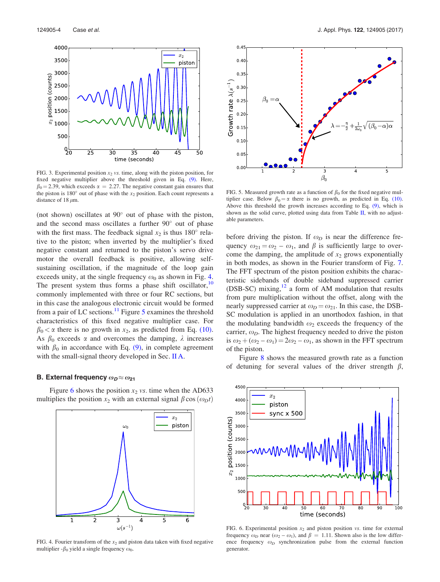<span id="page-4-0"></span>

FIG. 3. Experimental position  $x_2$  vs. time, along with the piston position, for fixed negative multiplier above the threshold given in Eq. [\(9\).](#page-2-0) Here,  $\beta_0 = 2.39$ , which exceeds  $\alpha = 2.27$ . The negative constant gain ensures that the piston is  $180^\circ$  out of phase with the  $x_2$  position. Each count represents a distance of 18  $\mu$ m.

(not shown) oscillates at  $90^{\circ}$  out of phase with the piston, and the second mass oscillates a further  $90^\circ$  out of phase with the first mass. The feedback signal  $x_2$  is thus 180 $^{\circ}$  relative to the piston; when inverted by the multiplier's fixed negative constant and returned to the piston's servo drive motor the overall feedback is positive, allowing selfsustaining oscillation, if the magnitude of the loop gain exceeds unity, at the single frequency  $\omega_0$  as shown in Fig. 4. The present system thus forms a phase shift oscillator,<sup>[10](#page-6-0)</sup> commonly implemented with three or four RC sections, but in this case the analogous electronic circuit would be formed from a pair of LC sections.<sup>[11](#page-6-0)</sup> Figure 5 examines the threshold characteristics of this fixed negative multiplier case. For  $\beta_0 < \alpha$  there is no growth in  $x_2$ , as predicted from Eq. [\(10\).](#page-2-0) As  $\beta_0$  exceeds  $\alpha$  and overcomes the damping,  $\lambda$  increases with  $\beta_0$  in accordance with Eq. [\(9\),](#page-2-0) in complete agreement with the small-signal theory developed in Sec. [II A](#page-2-0).

#### B. External frequency  $\omega_D \approx \omega_{21}$

Figure 6 shows the position  $x_2$  vs. time when the AD633 multiplies the position  $x_2$  with an external signal  $\beta \cos(\omega_D t)$ 



FIG. 4. Fourier transform of the  $x_2$  and piston data taken with fixed negative multiplier - $\beta_0$  yield a single frequency  $\omega_0$ .



FIG. 5. Measured growth rate as a function of  $\beta_0$  for the fixed negative multiplier case. Below  $\beta_0 = \alpha$  there is no growth, as predicted in Eq. [\(10\).](#page-2-0) Above this threshold the growth increases according to Eq. [\(9\)](#page-2-0), which is shown as the solid curve, plotted using data from Table [II,](#page-3-0) with no adjustable parameters.

before driving the piston. If  $\omega_D$  is near the difference frequency  $\omega_{21} = \omega_2 - \omega_1$ , and  $\beta$  is sufficiently large to overcome the damping, the amplitude of  $x_2$  grows exponentially in both modes, as shown in the Fourier transform of Fig. [7](#page-5-0). The FFT spectrum of the piston position exhibits the characteristic sidebands of double sideband suppressed carrier (DSB-SC) mixing, $^{12}$  $^{12}$  $^{12}$  a form of AM modulation that results from pure multiplication without the offset, along with the nearly suppressed carrier at  $\omega_D = \omega_{21}$ . In this case, the DSB-SC modulation is applied in an unorthodox fashion, in that the modulating bandwidth  $\omega_2$  exceeds the frequency of the carrier,  $\omega_D$ . The highest frequency needed to drive the piston is  $\omega_2 + (\omega_2 - \omega_1) = 2\omega_2 - \omega_1$ , as shown in the FFT spectrum of the piston.

Figure [8](#page-5-0) shows the measured growth rate as a function of detuning for several values of the driver strength  $\beta$ ,



FIG. 6. Experimental position  $x_2$  and piston position vs. time for external frequency  $\omega_D$  near  $(\omega_2 - \omega_1)$ , and  $\beta = 1.11$ . Shown also is the low difference frequency  $\omega_D$  synchronization pulse from the external function generator.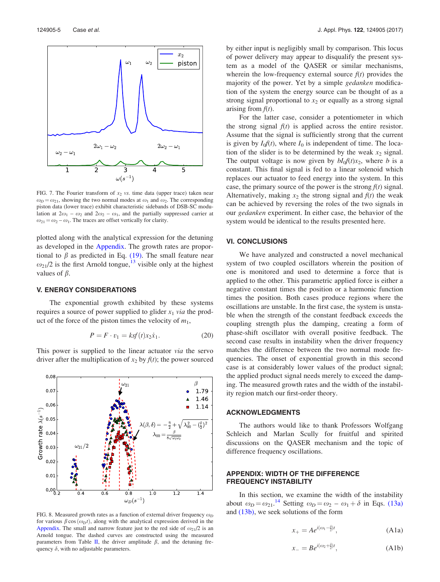<span id="page-5-0"></span>

FIG. 7. The Fourier transform of  $x_2$  vs. time data (upper trace) taken near  $\omega_D = \omega_{21}$ , showing the two normal modes at  $\omega_1$  and  $\omega_2$ . The corresponding piston data (lower trace) exhibit characteristic sidebands of DSB-SC modulation at  $2\omega_1 - \omega_2$  and  $2\omega_2 - \omega_1$ , and the partially suppressed carrier at  $\omega_{21} = \omega_2 - \omega_1$ . The traces are offset vertically for clarity.

plotted along with the analytical expression for the detuning as developed in the Appendix. The growth rates are proportional to  $\beta$  as predicted in Eq. [\(19\)](#page-3-0). The small feature near  $\omega_{21}/2$  is the first Arnold tongue,<sup>[13](#page-6-0)</sup> visible only at the highest values of  $\beta$ .

#### V. ENERGY CONSIDERATIONS

The exponential growth exhibited by these systems requires a source of power supplied to glider  $x_1$  via the product of the force of the piston times the velocity of  $m_1$ ,

$$
P = F \cdot v_1 = ksf(t)x_2\dot{x}_1.
$$
 (20)

This power is supplied to the linear actuator via the servo driver after the multiplication of  $x_2$  by  $f(t)$ ; the power sourced



FIG. 8. Measured growth rates as a function of external driver frequency  $\omega_D$ for various  $\beta \cos(\omega_D t)$ , along with the analytical expression derived in the Appendix. The small and narrow feature just to the red side of  $\omega_{21}/2$  is an Arnold tongue. The dashed curves are constructed using the measured parameters from Table [II,](#page-3-0) the driver amplitude  $\beta$ , and the detuning frequency  $\delta$ , with no adjustable parameters.

by either input is negligibly small by comparison. This locus of power delivery may appear to disqualify the present system as a model of the QASER or similar mechanisms, wherein the low-frequency external source  $f(t)$  provides the majority of the power. Yet by a simple *gedanken* modification of the system the energy source can be thought of as a strong signal proportional to  $x_2$  or equally as a strong signal arising from  $f(t)$ .

For the latter case, consider a potentiometer in which the strong signal  $f(t)$  is applied across the entire resistor. Assume that the signal is sufficiently strong that the current is given by  $I_0f(t)$ , where  $I_0$  is independent of time. The location of the slider is to be determined by the weak  $x_2$  signal. The output voltage is now given by  $bI_0f(t)x_2$ , where b is a constant. This final signal is fed to a linear solenoid which replaces our actuator to feed energy into the system. In this case, the primary source of the power is the strong  $f(t)$  signal. Alternatively, making  $x_2$  the strong signal and  $f(t)$  the weak can be achieved by reversing the roles of the two signals in our gedanken experiment. In either case, the behavior of the system would be identical to the results presented here.

#### VI. CONCLUSIONS

We have analyzed and constructed a novel mechanical system of two coupled oscillators wherein the position of one is monitored and used to determine a force that is applied to the other. This parametric applied force is either a negative constant times the position or a harmonic function times the position. Both cases produce regions where the oscillations are unstable. In the first case, the system is unstable when the strength of the constant feedback exceeds the coupling strength plus the damping, creating a form of phase-shift oscillator with overall positive feedback. The second case results in instability when the driver frequency matches the difference between the two normal mode frequencies. The onset of exponential growth in this second case is at considerably lower values of the product signal; the applied product signal needs merely to exceed the damping. The measured growth rates and the width of the instability region match our first-order theory.

#### ACKNOWLEDGMENTS

The authors would like to thank Professors Wolfgang Schleich and Marlan Scully for fruitful and spirited discussions on the QASER mechanism and the topic of difference frequency oscillations.

#### APPENDIX: WIDTH OF THE DIFFERENCE FREQUENCY INSTABILITY

In this section, we examine the width of the instability about  $\omega_D = \omega_{21}$ .<sup>[14](#page-6-0)</sup> Setting  $\omega_D = \omega_2 - \omega_1 + \delta$  in Eqs. [\(13a\)](#page-2-0) and [\(13b\),](#page-2-0) we seek solutions of the form

$$
x_{+} = Ae^{i(\omega_1 - \frac{\delta}{2})t}, \tag{A1a}
$$

$$
x_{-} = Be^{i(\omega_2 + \frac{\delta}{2})t}, \tag{A1b}
$$